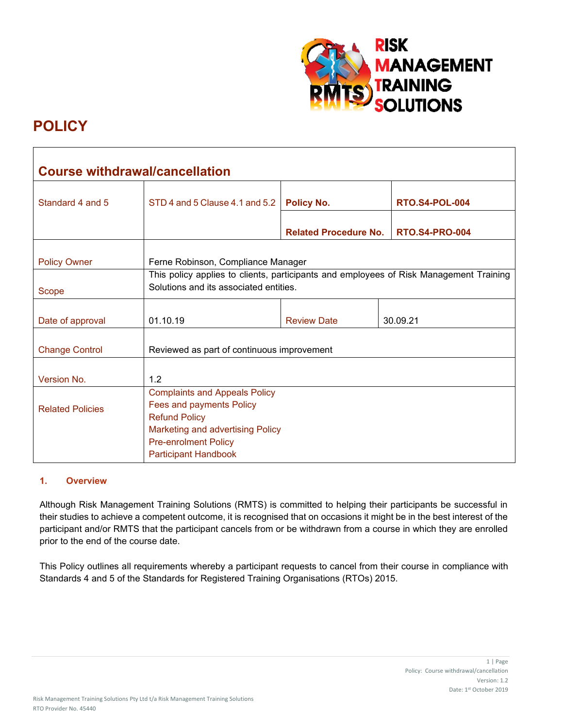

# **POLICY**

| <b>Course withdrawal/cancellation</b> |                                                                                                                                                                                            |                              |                       |
|---------------------------------------|--------------------------------------------------------------------------------------------------------------------------------------------------------------------------------------------|------------------------------|-----------------------|
| Standard 4 and 5                      | STD 4 and 5 Clause 4.1 and 5.2                                                                                                                                                             | <b>Policy No.</b>            | <b>RTO.S4-POL-004</b> |
|                                       |                                                                                                                                                                                            | <b>Related Procedure No.</b> | <b>RTO.S4-PRO-004</b> |
| <b>Policy Owner</b>                   | Ferne Robinson, Compliance Manager                                                                                                                                                         |                              |                       |
| Scope                                 | This policy applies to clients, participants and employees of Risk Management Training<br>Solutions and its associated entities.                                                           |                              |                       |
| Date of approval                      | 01.10.19                                                                                                                                                                                   | <b>Review Date</b>           | 30.09.21              |
| <b>Change Control</b>                 | Reviewed as part of continuous improvement                                                                                                                                                 |                              |                       |
| Version No.                           | 1.2                                                                                                                                                                                        |                              |                       |
| <b>Related Policies</b>               | <b>Complaints and Appeals Policy</b><br>Fees and payments Policy<br><b>Refund Policy</b><br>Marketing and advertising Policy<br><b>Pre-enrolment Policy</b><br><b>Participant Handbook</b> |                              |                       |

## **1. Overview**

Although Risk Management Training Solutions (RMTS) is committed to helping their participants be successful in their studies to achieve a competent outcome, it is recognised that on occasions it might be in the best interest of the participant and/or RMTS that the participant cancels from or be withdrawn from a course in which they are enrolled prior to the end of the course date.

This Policy outlines all requirements whereby a participant requests to cancel from their course in compliance with Standards 4 and 5 of the Standards for Registered Training Organisations (RTOs) 2015.